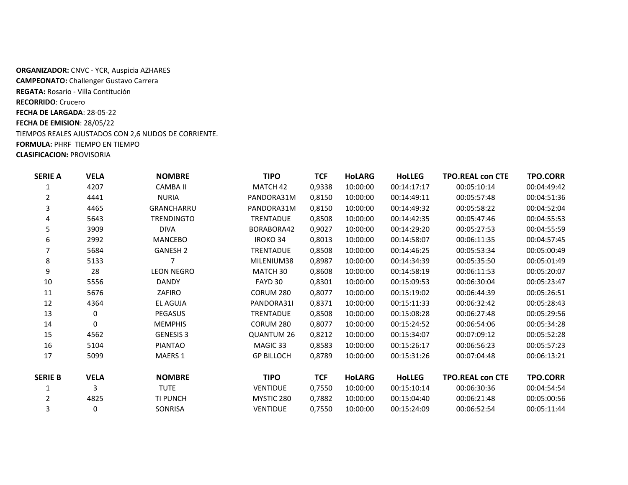**ORGANIZADOR:** CNVC - YCR, Auspicia AZHARES **CAMPEONATO:** Challenger Gustavo Carrera **REGATA:** Rosario - Villa Contitución **RECORRIDO**: Crucero **FECHA DE LARGADA**: 28-05-22 **FECHA DE EMISION**: 28/05/22 TIEMPOS REALES AJUSTADOS CON 2,6 NUDOS DE CORRIENTE. **FORMULA:** PHRF TIEMPO EN TIEMPO **CLASIFICACION:** PROVISORIA

| <b>SERIE A</b> | <b>VELA</b> | <b>NOMBRE</b>     | TIPO              | <b>TCF</b> | <b>HOLARG</b> | <b>HoLLEG</b> | <b>TPO.REAL con CTE</b> | TPO.CORR        |
|----------------|-------------|-------------------|-------------------|------------|---------------|---------------|-------------------------|-----------------|
|                | 4207        | <b>CAMBA II</b>   | MATCH 42          | 0,9338     | 10:00:00      | 00:14:17:17   | 00:05:10:14             | 00:04:49:42     |
| 2              | 4441        | <b>NURIA</b>      | PANDORA31M        | 0,8150     | 10:00:00      | 00:14:49:11   | 00:05:57:48             | 00:04:51:36     |
| 3              | 4465        | <b>GRANCHARRU</b> | PANDORA31M        | 0,8150     | 10:00:00      | 00:14:49:32   | 00:05:58:22             | 00:04:52:04     |
| 4              | 5643        | <b>TRENDINGTO</b> | <b>TRENTADUE</b>  | 0,8508     | 10:00:00      | 00:14:42:35   | 00:05:47:46             | 00:04:55:53     |
| 5              | 3909        | <b>DIVA</b>       | BORABORA42        | 0,9027     | 10:00:00      | 00:14:29:20   | 00:05:27:53             | 00:04:55:59     |
| 6              | 2992        | <b>MANCEBO</b>    | <b>IROKO 34</b>   | 0,8013     | 10:00:00      | 00:14:58:07   | 00:06:11:35             | 00:04:57:45     |
| 7              | 5684        | <b>GANESH 2</b>   | <b>TRENTADUE</b>  | 0,8508     | 10:00:00      | 00:14:46:25   | 00:05:53:34             | 00:05:00:49     |
| 8              | 5133        |                   | MILENIUM38        | 0,8987     | 10:00:00      | 00:14:34:39   | 00:05:35:50             | 00:05:01:49     |
| 9              | 28          | <b>LEON NEGRO</b> | MATCH 30          | 0,8608     | 10:00:00      | 00:14:58:19   | 00:06:11:53             | 00:05:20:07     |
| 10             | 5556        | <b>DANDY</b>      | FAYD 30           | 0,8301     | 10:00:00      | 00:15:09:53   | 00:06:30:04             | 00:05:23:47     |
| 11             | 5676        | ZAFIRO            | CORUM 280         | 0,8077     | 10:00:00      | 00:15:19:02   | 00:06:44:39             | 00:05:26:51     |
| 12             | 4364        | EL AGUJA          | PANDORA31I        | 0,8371     | 10:00:00      | 00:15:11:33   | 00:06:32:42             | 00:05:28:43     |
| 13             | 0           | <b>PEGASUS</b>    | <b>TRENTADUE</b>  | 0,8508     | 10:00:00      | 00:15:08:28   | 00:06:27:48             | 00:05:29:56     |
| 14             | 0           | <b>MEMPHIS</b>    | CORUM 280         | 0,8077     | 10:00:00      | 00:15:24:52   | 00:06:54:06             | 00:05:34:28     |
| 15             | 4562        | <b>GENESIS 3</b>  | <b>QUANTUM 26</b> | 0,8212     | 10:00:00      | 00:15:34:07   | 00:07:09:12             | 00:05:52:28     |
| 16             | 5104        | PIANTAO           | MAGIC 33          | 0,8583     | 10:00:00      | 00:15:26:17   | 00:06:56:23             | 00:05:57:23     |
| 17             | 5099        | <b>MAERS 1</b>    | <b>GP BILLOCH</b> | 0,8789     | 10:00:00      | 00:15:31:26   | 00:07:04:48             | 00:06:13:21     |
| <b>SERIE B</b> | <b>VELA</b> | <b>NOMBRE</b>     | <b>TIPO</b>       | <b>TCF</b> | <b>HoLARG</b> | <b>HoLLEG</b> | <b>TPO.REAL con CTE</b> | <b>TPO.CORR</b> |
| 1              | 3           | <b>TUTE</b>       | <b>VENTIDUE</b>   | 0,7550     | 10:00:00      | 00:15:10:14   | 00:06:30:36             | 00:04:54:54     |
| 2              | 4825        | TI PUNCH          | MYSTIC 280        | 0,7882     | 10:00:00      | 00:15:04:40   | 00:06:21:48             | 00:05:00:56     |
| 3              | 0           | SONRISA           | <b>VENTIDUE</b>   | 0,7550     | 10:00:00      | 00:15:24:09   | 00:06:52:54             | 00:05:11:44     |
|                |             |                   |                   |            |               |               |                         |                 |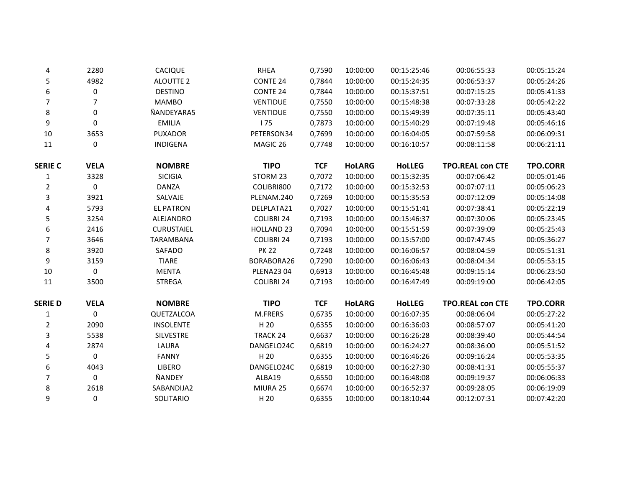| 4              | 2280        | <b>CACIQUE</b>    | <b>RHEA</b>         | 0,7590     | 10:00:00      | 00:15:25:46   | 00:06:55:33             | 00:05:15:24     |
|----------------|-------------|-------------------|---------------------|------------|---------------|---------------|-------------------------|-----------------|
| 5              | 4982        | <b>ALOUTTE 2</b>  | <b>CONTE 24</b>     | 0,7844     | 10:00:00      | 00:15:24:35   | 00:06:53:37             | 00:05:24:26     |
| 6              | 0           | <b>DESTINO</b>    | CONTE <sub>24</sub> | 0,7844     | 10:00:00      | 00:15:37:51   | 00:07:15:25             | 00:05:41:33     |
| 7              | 7           | <b>MAMBO</b>      | <b>VENTIDUE</b>     | 0,7550     | 10:00:00      | 00:15:48:38   | 00:07:33:28             | 00:05:42:22     |
| 8              | 0           | ÑANDEYARA5        | <b>VENTIDUE</b>     | 0,7550     | 10:00:00      | 00:15:49:39   | 00:07:35:11             | 00:05:43:40     |
| 9              | 0           | <b>EMILIA</b>     | 175                 | 0,7873     | 10:00:00      | 00:15:40:29   | 00:07:19:48             | 00:05:46:16     |
| 10             | 3653        | <b>PUXADOR</b>    | PETERSON34          | 0,7699     | 10:00:00      | 00:16:04:05   | 00:07:59:58             | 00:06:09:31     |
| 11             | 0           | <b>INDIGENA</b>   | MAGIC 26            | 0,7748     | 10:00:00      | 00:16:10:57   | 00:08:11:58             | 00:06:21:11     |
| <b>SERIE C</b> | <b>VELA</b> | <b>NOMBRE</b>     | <b>TIPO</b>         | <b>TCF</b> | <b>HoLARG</b> | <b>HoLLEG</b> | <b>TPO.REAL con CTE</b> | <b>TPO.CORR</b> |
| $\mathbf{1}$   | 3328        | <b>SICIGIA</b>    | STORM 23            | 0,7072     | 10:00:00      | 00:15:32:35   | 00:07:06:42             | 00:05:01:46     |
| $\overline{2}$ | 0           | <b>DANZA</b>      | COLIBRI800          | 0,7172     | 10:00:00      | 00:15:32:53   | 00:07:07:11             | 00:05:06:23     |
| $\mathsf{3}$   | 3921        | SALVAJE           | PLENAM.240          | 0,7269     | 10:00:00      | 00:15:35:53   | 00:07:12:09             | 00:05:14:08     |
| 4              | 5793        | <b>EL PATRON</b>  | DELPLATA21          | 0,7027     | 10:00:00      | 00:15:51:41   | 00:07:38:41             | 00:05:22:19     |
| 5              | 3254        | ALEJANDRO         | <b>COLIBRI 24</b>   | 0,7193     | 10:00:00      | 00:15:46:37   | 00:07:30:06             | 00:05:23:45     |
| 6              | 2416        | <b>CURUSTAIEL</b> | <b>HOLLAND 23</b>   | 0,7094     | 10:00:00      | 00:15:51:59   | 00:07:39:09             | 00:05:25:43     |
| 7              | 3646        | TARAMBANA         | <b>COLIBRI 24</b>   | 0,7193     | 10:00:00      | 00:15:57:00   | 00:07:47:45             | 00:05:36:27     |
| 8              | 3920        | SAFADO            | <b>PK 22</b>        | 0,7248     | 10:00:00      | 00:16:06:57   | 00:08:04:59             | 00:05:51:31     |
| 9              | 3159        | <b>TIARE</b>      | BORABORA26          | 0,7290     | 10:00:00      | 00:16:06:43   | 00:08:04:34             | 00:05:53:15     |
| 10             | 0           | <b>MENTA</b>      | <b>PLENA2304</b>    | 0,6913     | 10:00:00      | 00:16:45:48   | 00:09:15:14             | 00:06:23:50     |
| 11             | 3500        | <b>STREGA</b>     | <b>COLIBRI 24</b>   | 0,7193     | 10:00:00      | 00:16:47:49   | 00:09:19:00             | 00:06:42:05     |
| <b>SERIE D</b> | <b>VELA</b> | <b>NOMBRE</b>     | <b>TIPO</b>         | <b>TCF</b> | <b>HoLARG</b> | <b>HoLLEG</b> | <b>TPO.REAL con CTE</b> | <b>TPO.CORR</b> |
| $\mathbf{1}$   | 0           | QUETZALCOA        | M.FRERS             | 0,6735     | 10:00:00      | 00:16:07:35   | 00:08:06:04             | 00:05:27:22     |
| $\overline{2}$ | 2090        | <b>INSOLENTE</b>  | H 20                | 0,6355     | 10:00:00      | 00:16:36:03   | 00:08:57:07             | 00:05:41:20     |
| 3              | 5538        | <b>SILVESTRE</b>  | <b>TRACK 24</b>     | 0,6637     | 10:00:00      | 00:16:26:28   | 00:08:39:40             | 00:05:44:54     |
| 4              | 2874        | LAURA             | DANGELO24C          | 0,6819     | 10:00:00      | 00:16:24:27   | 00:08:36:00             | 00:05:51:52     |
| 5              | 0           | <b>FANNY</b>      | H 20                | 0,6355     | 10:00:00      | 00:16:46:26   | 00:09:16:24             | 00:05:53:35     |
| 6              | 4043        | LIBERO            | DANGELO24C          | 0,6819     | 10:00:00      | 00:16:27:30   | 00:08:41:31             | 00:05:55:37     |
| $\overline{7}$ | 0           | ÑANDEY            | ALBA19              | 0,6550     | 10:00:00      | 00:16:48:08   | 00:09:19:37             | 00:06:06:33     |
| 8              | 2618        | SABANDIJA2        | MIURA 25            | 0,6674     | 10:00:00      | 00:16:52:37   | 00:09:28:05             | 00:06:19:09     |
| 9              | 0           | SOLITARIO         | H 20                | 0,6355     | 10:00:00      | 00:18:10:44   | 00:12:07:31             | 00:07:42:20     |